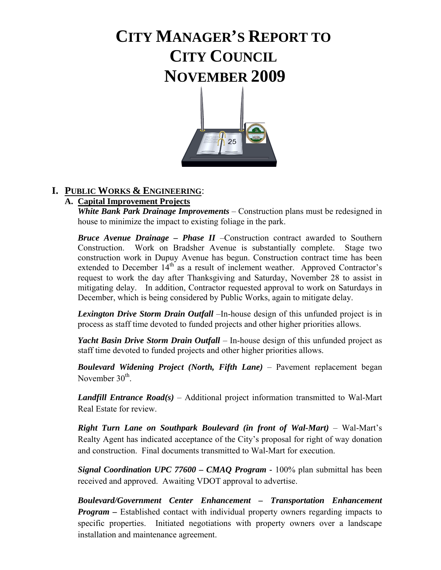# **CITY MANAGER'S REPORT TO CITY COUNCIL NOVEMBER 2009**



### **I. PUBLIC WORKS & ENGINEERING**:

# **A. Capital Improvement Projects**

 *White Bank Park Drainage Improvements* – Construction plans must be redesigned in house to minimize the impact to existing foliage in the park.

*Bruce Avenue Drainage – Phase II* –Construction contract awarded to Southern Construction. Work on Bradsher Avenue is substantially complete. Stage two construction work in Dupuy Avenue has begun. Construction contract time has been extended to December  $14<sup>th</sup>$  as a result of inclement weather. Approved Contractor's request to work the day after Thanksgiving and Saturday, November 28 to assist in mitigating delay. In addition, Contractor requested approval to work on Saturdays in December, which is being considered by Public Works, again to mitigate delay.

*Lexington Drive Storm Drain Outfall* –In-house design of this unfunded project is in process as staff time devoted to funded projects and other higher priorities allows.

 *Yacht Basin Drive Storm Drain Outfall* – In-house design of this unfunded project as staff time devoted to funded projects and other higher priorities allows.

*Boulevard Widening Project (North, Fifth Lane)* – Pavement replacement began November 30<sup>th</sup>

*Landfill Entrance Road(s)* – Additional project information transmitted to Wal-Mart Real Estate for review.

*Right Turn Lane on Southpark Boulevard (in front of Wal-Mart)* – Wal-Mart's Realty Agent has indicated acceptance of the City's proposal for right of way donation and construction. Final documents transmitted to Wal-Mart for execution.

*Signal Coordination UPC 77600 – CMAQ Program - 100%* plan submittal has been received and approved. Awaiting VDOT approval to advertise.

*Boulevard/Government Center Enhancement – Transportation Enhancement Program –* Established contact with individual property owners regarding impacts to specific properties. Initiated negotiations with property owners over a landscape installation and maintenance agreement.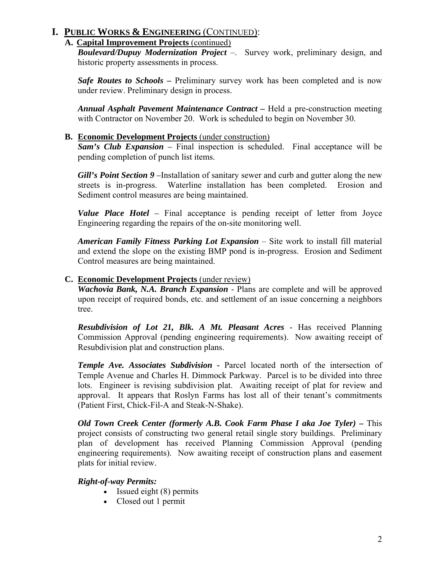### **A. Capital Improvement Projects** (continued)

*Boulevard/Dupuy Modernization Project* –. Survey work, preliminary design, and historic property assessments in process.

*Safe Routes to Schools* **–** Preliminary survey work has been completed and is now under review. Preliminary design in process.

*Annual Asphalt Pavement Maintenance Contract –* Held a pre-construction meeting with Contractor on November 20. Work is scheduled to begin on November 30.

### **B. Economic Development Projects** (under construction)

*Sam's Club Expansion –* Final inspection is scheduled. Final acceptance will be pending completion of punch list items.

*Gill's Point Section 9* – Installation of sanitary sewer and curb and gutter along the new streets is in-progress. Waterline installation has been completed. Erosion and Sediment control measures are being maintained.

*Value Place Hotel –* Final acceptance is pending receipt of letter from Joyce Engineering regarding the repairs of the on-site monitoring well.

*American Family Fitness Parking Lot Expansion* – Site work to install fill material and extend the slope on the existing BMP pond is in-progress. Erosion and Sediment Control measures are being maintained.

### **C. Economic Development Projects** (under review)

*Wachovia Bank, N.A. Branch Expansion - Plans are complete and will be approved*  upon receipt of required bonds, etc. and settlement of an issue concerning a neighbors tree.

*Resubdivision of Lot 21, Blk. A Mt. Pleasant Acres* - Has received Planning Commission Approval (pending engineering requirements). Now awaiting receipt of Resubdivision plat and construction plans.

*Temple Ave. Associates Subdivision -* Parcel located north of the intersection of Temple Avenue and Charles H. Dimmock Parkway. Parcel is to be divided into three lots. Engineer is revising subdivision plat. Awaiting receipt of plat for review and approval. It appears that Roslyn Farms has lost all of their tenant's commitments (Patient First, Chick-Fil-A and Steak-N-Shake).

 *Old Town Creek Center (formerly A.B. Cook Farm Phase I aka Joe Tyler) –* This project consists of constructing two general retail single story buildings. Preliminary plan of development has received Planning Commission Approval (pending engineering requirements). Now awaiting receipt of construction plans and easement plats for initial review.

### *Right-of-way Permits:*

- Issued eight (8) permits
- Closed out 1 permit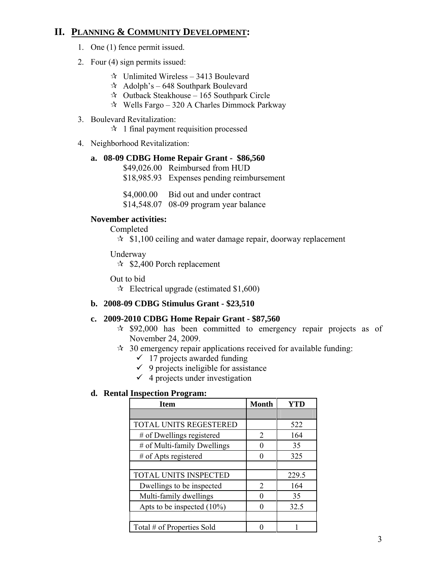# **II. PLANNING & COMMUNITY DEVELOPMENT:**

- 1. One (1) fence permit issued.
- 2. Four (4) sign permits issued:
	- $\approx$  Unlimited Wireless 3413 Boulevard
	- $\approx$  Adolph's 648 Southpark Boulevard
	- $\approx$  Outback Steakhouse 165 Southpark Circle
	- $\approx$  Wells Fargo 320 A Charles Dimmock Parkway
- 3. Boulevard Revitalization:
	- $\approx$  1 final payment requisition processed
- 4. Neighborhood Revitalization:

#### **a. 08-09 CDBG Home Repair Grant - \$86,560**

- \$49,026.00 Reimbursed from HUD
- \$18,985.93 Expenses pending reimbursement

\$4,000.00 Bid out and under contract

\$14,548.07 08-09 program year balance

### **November activities:**

Completed

 $\approx$  \$1,100 ceiling and water damage repair, doorway replacement

Underway

 $\approx$  \$2,400 Porch replacement

Out to bid

 $\approx$  Electrical upgrade (estimated \$1,600)

### **b. 2008-09 CDBG Stimulus Grant - \$23,510**

### **c. 2009-2010 CDBG Home Repair Grant - \$87,560**

- $\approx$  \$92,000 has been committed to emergency repair projects as of November 24, 2009.
- $\approx$  30 emergency repair applications received for available funding:
	- $\checkmark$  17 projects awarded funding
	- $\checkmark$  9 projects ineligible for assistance
	- $\checkmark$  4 projects under investigation

### **d. Rental Inspection Program:**

| <b>Item</b>                   | <b>Month</b>  | YTD   |
|-------------------------------|---------------|-------|
|                               |               |       |
| <b>TOTAL UNITS REGESTERED</b> |               | 522   |
| # of Dwellings registered     | 2             | 164   |
| # of Multi-family Dwellings   |               | 35    |
| $#$ of Apts registered        |               | 325   |
|                               |               |       |
| <b>TOTAL UNITS INSPECTED</b>  |               | 229.5 |
| Dwellings to be inspected     | $\mathcal{L}$ | 164   |
| Multi-family dwellings        |               | 35    |
| Apts to be inspected $(10\%)$ |               | 32.5  |
|                               |               |       |
| Total # of Properties Sold    |               |       |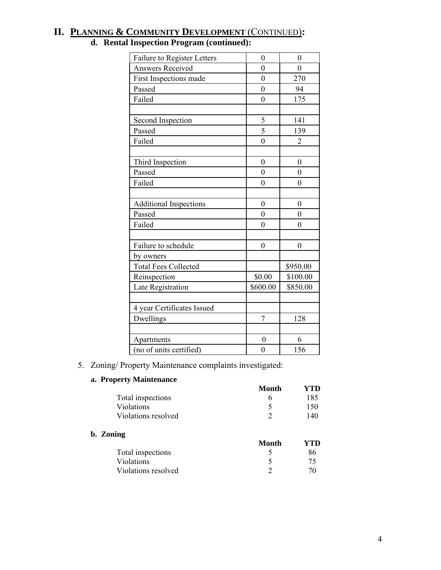| Failure to Register Letters   | $\boldsymbol{0}$ | $\boldsymbol{0}$ |
|-------------------------------|------------------|------------------|
| <b>Answers Received</b>       | $\theta$         | $\overline{0}$   |
| First Inspections made        | $\boldsymbol{0}$ | 270              |
| Passed                        | $\theta$         | 94               |
| Failed                        | $\mathbf{0}$     | 175              |
| Second Inspection             | 5                | 141              |
| Passed                        | $\overline{5}$   | 139              |
| Failed                        | $\overline{0}$   | $\overline{2}$   |
| Third Inspection              | $\overline{0}$   | $\boldsymbol{0}$ |
| Passed                        | $\mathbf{0}$     | $\boldsymbol{0}$ |
| Failed                        | $\overline{0}$   | $\overline{0}$   |
| <b>Additional Inspections</b> | $\mathbf{0}$     | $\mathbf{0}$     |
| Passed                        | $\mathbf{0}$     | $\overline{0}$   |
| Failed                        | $\overline{0}$   | $\overline{0}$   |
| Failure to schedule           | $\boldsymbol{0}$ | $\boldsymbol{0}$ |
| by owners                     |                  |                  |
| <b>Total Fees Collected</b>   |                  | \$950.00         |
| Reinspection                  | \$0.00           | \$100.00         |
| Late Registration             | \$600.00         | \$850.00         |
| 4 year Certificates Issued    |                  |                  |
| Dwellings                     | 7                | 128              |
| Apartments                    | $\overline{0}$   | 6                |
| (no of units certified)       | $\boldsymbol{0}$ | 156              |

# **II. PLANNING & COMMUNITY DEVELOPMENT** (CONTINUED)**:**

# **d. Rental Inspection Program (continued):**

### 5. Zoning/ Property Maintenance complaints investigated:

#### **a. Property Maintenance**

| $P^{\texttt{v}}$ , $\ldots$ | Month | YTD |
|-----------------------------|-------|-----|
| Total inspections           |       | 185 |
| <b>Violations</b>           |       | 150 |
| Violations resolved         |       | 140 |
|                             |       |     |

#### **b. Zoning**

| Month | YTD. |
|-------|------|
|       | 86   |
|       | 75   |
|       | 70   |
|       |      |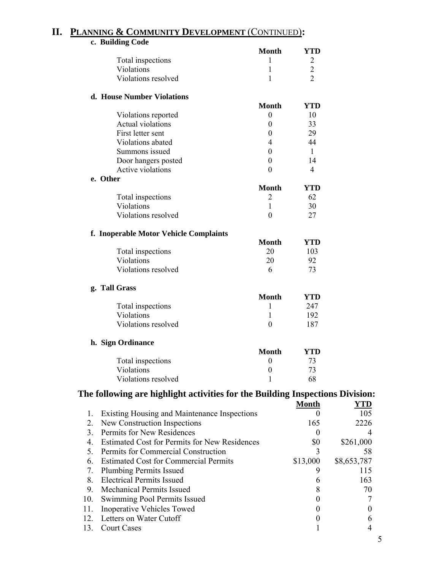# **II. PLANNING & COMMUNITY DEVELOPMENT** (CONTINUED)**:**

|     | c. Building Code                                                              |                  |                  |             |
|-----|-------------------------------------------------------------------------------|------------------|------------------|-------------|
|     |                                                                               | <b>Month</b>     | <b>YTD</b>       |             |
|     | Total inspections                                                             | 1                | $\overline{c}$   |             |
|     | Violations                                                                    | 1                | $\overline{c}$   |             |
|     | Violations resolved                                                           | 1                | $\overline{2}$   |             |
|     |                                                                               |                  |                  |             |
|     | d. House Number Violations                                                    |                  |                  |             |
|     |                                                                               | <b>Month</b>     | <b>YTD</b>       |             |
|     | Violations reported                                                           | $\boldsymbol{0}$ | 10               |             |
|     | <b>Actual violations</b>                                                      | $\boldsymbol{0}$ | 33               |             |
|     | First letter sent                                                             | 0                | 29               |             |
|     | Violations abated                                                             | 4                | 44               |             |
|     | Summons issued                                                                | $\boldsymbol{0}$ | $\mathbf{1}$     |             |
|     | Door hangers posted                                                           | $\boldsymbol{0}$ | 14               |             |
|     | Active violations                                                             | $\overline{0}$   | 4                |             |
|     | e. Other                                                                      |                  |                  |             |
|     |                                                                               | <b>Month</b>     | <b>YTD</b>       |             |
|     | Total inspections                                                             | $\overline{2}$   | 62               |             |
|     | Violations                                                                    | 1                | 30               |             |
|     | Violations resolved                                                           | $\boldsymbol{0}$ | 27               |             |
|     |                                                                               |                  |                  |             |
|     | f. Inoperable Motor Vehicle Complaints                                        |                  |                  |             |
|     |                                                                               | <b>Month</b>     | <b>YTD</b>       |             |
|     |                                                                               | 20               | 103              |             |
|     | Total inspections<br>Violations                                               |                  |                  |             |
|     |                                                                               | 20               | 92               |             |
|     | Violations resolved                                                           | 6                | 73               |             |
|     | g. Tall Grass                                                                 |                  |                  |             |
|     |                                                                               | <b>Month</b>     | <b>YTD</b>       |             |
|     | Total inspections                                                             | 1                | 247              |             |
|     | Violations                                                                    | $\mathbf{1}$     | 192              |             |
|     | Violations resolved                                                           | $\boldsymbol{0}$ |                  |             |
|     |                                                                               |                  | 187              |             |
|     | h. Sign Ordinance                                                             |                  |                  |             |
|     |                                                                               | <b>Month</b>     | <b>YTD</b>       |             |
|     | Total inspections                                                             | $\boldsymbol{0}$ | 73               |             |
|     | Violations                                                                    | $\boldsymbol{0}$ | 73               |             |
|     | Violations resolved                                                           | 1                | 68               |             |
|     |                                                                               |                  |                  |             |
|     | The following are highlight activities for the Building Inspections Division: |                  |                  |             |
|     |                                                                               |                  | <b>Month</b>     | YTD         |
| 1.  | <b>Existing Housing and Maintenance Inspections</b>                           |                  | $\boldsymbol{0}$ | 105         |
| 2.  | New Construction Inspections                                                  |                  | 165              | 2226        |
| 3.  | Permits for New Residences                                                    |                  | $\theta$         | 4           |
| 4.  | <b>Estimated Cost for Permits for New Residences</b>                          |                  | \$0              | \$261,000   |
| 5.  | Permits for Commercial Construction                                           |                  | 3                | 58          |
|     | <b>Estimated Cost for Commercial Permits</b><br>6.                            |                  |                  | \$8,653,787 |
| 7.  | <b>Plumbing Permits Issued</b>                                                |                  | \$13,000<br>9    | 115         |
|     |                                                                               |                  |                  |             |
| 8.  | <b>Electrical Permits Issued</b>                                              |                  | 6                | 163         |
| 9.  | <b>Mechanical Permits Issued</b>                                              |                  | 8                | 70          |
| 10. | Swimming Pool Permits Issued                                                  |                  | $\boldsymbol{0}$ | 7           |
| 11. | <b>Inoperative Vehicles Towed</b>                                             |                  | $\theta$         | $\theta$    |
| 12. | Letters on Water Cutoff                                                       |                  | $\theta$         | 6           |
| 13. | <b>Court Cases</b>                                                            |                  |                  | 4           |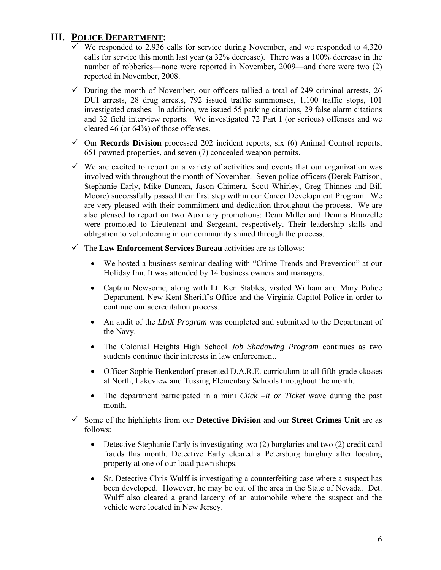# **III. POLICE DEPARTMENT:**

- $\checkmark$  We responded to 2,936 calls for service during November, and we responded to 4,320 calls for service this month last year (a 32% decrease). There was a 100% decrease in the number of robberies—none were reported in November, 2009—and there were two (2) reported in November, 2008.
- $\checkmark$  During the month of November, our officers tallied a total of 249 criminal arrests, 26 DUI arrests, 28 drug arrests, 792 issued traffic summonses, 1,100 traffic stops, 101 investigated crashes. In addition, we issued 55 parking citations, 29 false alarm citations and 32 field interview reports. We investigated 72 Part I (or serious) offenses and we cleared 46 (or 64%) of those offenses.
- $\checkmark$  Our **Records Division** processed 202 incident reports, six (6) Animal Control reports, 651 pawned properties, and seven (7) concealed weapon permits.
- $\checkmark$  We are excited to report on a variety of activities and events that our organization was involved with throughout the month of November. Seven police officers (Derek Pattison, Stephanie Early, Mike Duncan, Jason Chimera, Scott Whirley, Greg Thinnes and Bill Moore) successfully passed their first step within our Career Development Program. We are very pleased with their commitment and dedication throughout the process. We are also pleased to report on two Auxiliary promotions: Dean Miller and Dennis Branzelle were promoted to Lieutenant and Sergeant, respectively. Their leadership skills and obligation to volunteering in our community shined through the process.
- 9 The **Law Enforcement Services Bureau** activities are as follows:
	- We hosted a business seminar dealing with "Crime Trends and Prevention" at our Holiday Inn. It was attended by 14 business owners and managers.
	- Captain Newsome, along with Lt. Ken Stables, visited William and Mary Police Department, New Kent Sheriff's Office and the Virginia Capitol Police in order to continue our accreditation process.
	- An audit of the *LInX Program* was completed and submitted to the Department of the Navy.
	- The Colonial Heights High School *Job Shadowing Program* continues as two students continue their interests in law enforcement.
	- Officer Sophie Benkendorf presented D.A.R.E. curriculum to all fifth-grade classes at North, Lakeview and Tussing Elementary Schools throughout the month.
	- The department participated in a mini *Click –It or Ticket* wave during the past month.
- 9 Some of the highlights from our **Detective Division** and our **Street Crimes Unit** are as follows:
	- Detective Stephanie Early is investigating two (2) burglaries and two (2) credit card frauds this month. Detective Early cleared a Petersburg burglary after locating property at one of our local pawn shops.
	- Sr. Detective Chris Wulff is investigating a counterfeiting case where a suspect has been developed. However, he may be out of the area in the State of Nevada. Det. Wulff also cleared a grand larceny of an automobile where the suspect and the vehicle were located in New Jersey.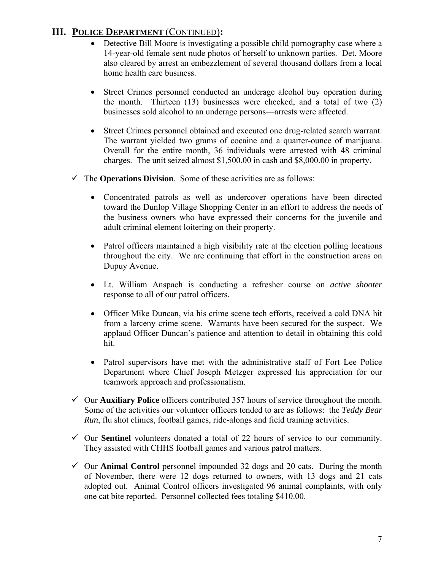# **III. POLICE DEPARTMENT** (CONTINUED)**:**

- Detective Bill Moore is investigating a possible child pornography case where a 14-year-old female sent nude photos of herself to unknown parties. Det. Moore also cleared by arrest an embezzlement of several thousand dollars from a local home health care business.
- Street Crimes personnel conducted an underage alcohol buy operation during the month. Thirteen (13) businesses were checked, and a total of two (2) businesses sold alcohol to an underage persons—arrests were affected.
- Street Crimes personnel obtained and executed one drug-related search warrant. The warrant yielded two grams of cocaine and a quarter-ounce of marijuana. Overall for the entire month, 36 individuals were arrested with 48 criminal charges. The unit seized almost \$1,500.00 in cash and \$8,000.00 in property.
- $\checkmark$  The **Operations Division**. Some of these activities are as follows:
	- Concentrated patrols as well as undercover operations have been directed toward the Dunlop Village Shopping Center in an effort to address the needs of the business owners who have expressed their concerns for the juvenile and adult criminal element loitering on their property.
	- Patrol officers maintained a high visibility rate at the election polling locations throughout the city. We are continuing that effort in the construction areas on Dupuy Avenue.
	- Lt. William Anspach is conducting a refresher course on *active shooter* response to all of our patrol officers.
	- Officer Mike Duncan, via his crime scene tech efforts, received a cold DNA hit from a larceny crime scene. Warrants have been secured for the suspect. We applaud Officer Duncan's patience and attention to detail in obtaining this cold hit.
	- Patrol supervisors have met with the administrative staff of Fort Lee Police Department where Chief Joseph Metzger expressed his appreciation for our teamwork approach and professionalism.
- 9 Our **Auxiliary Police** officers contributed 357 hours of service throughout the month. Some of the activities our volunteer officers tended to are as follows: the *Teddy Bear Run*, flu shot clinics, football games, ride-alongs and field training activities.
- $\checkmark$  Our **Sentinel** volunteers donated a total of 22 hours of service to our community. They assisted with CHHS football games and various patrol matters.
- $\checkmark$  Our **Animal Control** personnel impounded 32 dogs and 20 cats. During the month of November, there were 12 dogs returned to owners, with 13 dogs and 21 cats adopted out. Animal Control officers investigated 96 animal complaints, with only one cat bite reported. Personnel collected fees totaling \$410.00.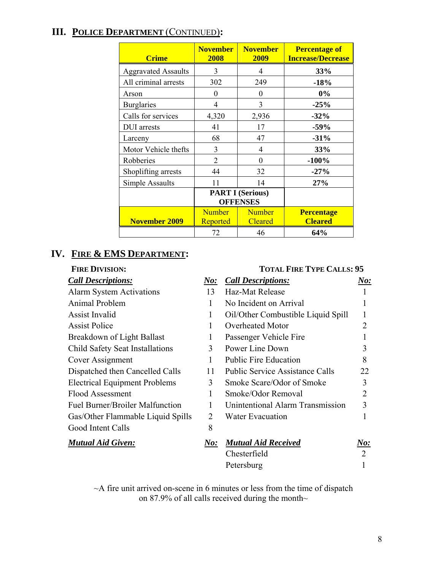# **III. POLICE DEPARTMENT** (CONTINUED)**:**

| <b>Crime</b>               | <b>November</b><br>2008                    | <b>November</b><br>2009         | <b>Percentage of</b><br><b>Increase/Decrease</b> |
|----------------------------|--------------------------------------------|---------------------------------|--------------------------------------------------|
| <b>Aggravated Assaults</b> | 3                                          | 4                               | 33%                                              |
| All criminal arrests       | 302                                        | 249                             | $-18%$                                           |
| Arson                      | $\theta$                                   | $\theta$                        | 0%                                               |
| <b>Burglaries</b>          | 4                                          | 3                               | $-25%$                                           |
| Calls for services         | 4,320                                      | 2,936                           | $-32%$                                           |
| <b>DUI</b> arrests         | 41                                         | 17                              | $-59%$                                           |
| Larceny                    | 68                                         | 47                              | $-31%$                                           |
| Motor Vehicle thefts       | 3                                          | 4                               | 33%                                              |
| Robberies                  | $\overline{2}$                             | 0                               | $-100%$                                          |
| Shoplifting arrests        | 44                                         | 32                              | $-27%$                                           |
| Simple Assaults            | 11                                         | 14                              | 27%                                              |
|                            | <b>PART I (Serious)</b><br><b>OFFENSES</b> |                                 |                                                  |
| <b>November 2009</b>       | <b>Number</b><br>Reported                  | <b>Number</b><br><b>Cleared</b> | <b>Percentage</b><br><b>Cleared</b>              |
|                            | 72                                         | 46                              | 64%                                              |

# **IV. FIRE & EMS DEPARTMENT:**

| <b>FIRE DIVISION:</b>                  |            | <b>TOTAL FIRE TYPE CALLS: 95</b>       |                        |
|----------------------------------------|------------|----------------------------------------|------------------------|
| <b>Call Descriptions:</b>              | $\bm{No:}$ | <b>Call Descriptions:</b>              | $\boldsymbol{\it No:}$ |
| <b>Alarm System Activations</b>        | 13         | Haz-Mat Release                        |                        |
| Animal Problem                         | 1          | No Incident on Arrival                 |                        |
| <b>Assist Invalid</b>                  | 1          | Oil/Other Combustible Liquid Spill     |                        |
| <b>Assist Police</b>                   | 1          | <b>Overheated Motor</b>                | $\overline{2}$         |
| Breakdown of Light Ballast             | 1          | Passenger Vehicle Fire                 |                        |
| Child Safety Seat Installations        | 3          | Power Line Down                        | 3                      |
| Cover Assignment                       | 1          | <b>Public Fire Education</b>           | 8                      |
| Dispatched then Cancelled Calls        | 11         | <b>Public Service Assistance Calls</b> | 22                     |
| <b>Electrical Equipment Problems</b>   | 3          | Smoke Scare/Odor of Smoke              | 3                      |
| Flood Assessment                       | 1          | Smoke/Odor Removal                     | $\overline{2}$         |
| <b>Fuel Burner/Broiler Malfunction</b> |            | Unintentional Alarm Transmission       | 3                      |
| Gas/Other Flammable Liquid Spills      | 2          | Water Evacuation                       |                        |
| Good Intent Calls                      | 8          |                                        |                        |
| <b>Mutual Aid Given:</b>               | N o:       | <b>Mutual Aid Received</b>             | N o:                   |
|                                        |            | Chesterfield                           | 2                      |
|                                        |            | Petersburg                             |                        |

 $\sim$ A fire unit arrived on-scene in 6 minutes or less from the time of dispatch on 87.9% of all calls received during the month~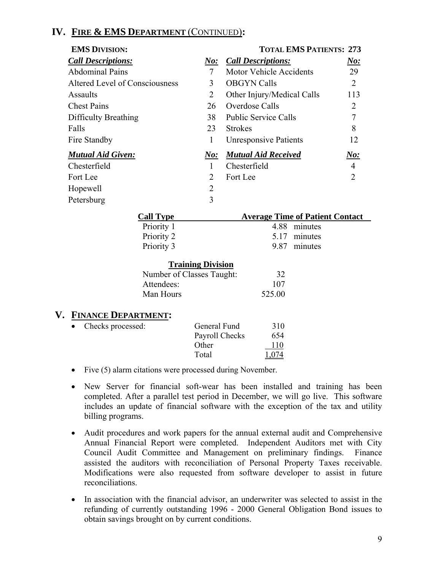# **IV. FIRE & EMS DEPARTMENT** (CONTINUED)**:**

| <b>EMS DIVISION:</b>           |                             | <b>TOTAL EMS PATIENTS: 273</b> |                             |
|--------------------------------|-----------------------------|--------------------------------|-----------------------------|
| <b>Call Descriptions:</b>      | N o:                        | <b>Call Descriptions:</b>      | <u>No:</u>                  |
| <b>Abdominal Pains</b>         | 7                           | <b>Motor Vehicle Accidents</b> | 29                          |
| Altered Level of Consciousness | 3                           | <b>OBGYN Calls</b>             | $\overline{2}$              |
| Assaults                       | 2                           | Other Injury/Medical Calls     | 113                         |
| <b>Chest Pains</b>             | 26                          | Overdose Calls                 | 2                           |
| Difficulty Breathing           | 38                          | <b>Public Service Calls</b>    |                             |
| Falls                          | 23                          | <b>Strokes</b>                 | 8                           |
| Fire Standby                   | 1                           | <b>Unresponsive Patients</b>   | 12                          |
| <b>Mutual Aid Given:</b>       | $N\!o$ :                    | <b>Mutual Aid Received</b>     | No:                         |
| Chesterfield                   | 1                           | Chesterfield                   | 4                           |
| Fort Lee                       | $\mathcal{D}_{\mathcal{L}}$ | Fort Lee                       | $\mathcal{D}_{\mathcal{A}}$ |
| Hopewell                       | $\overline{2}$              |                                |                             |
| Petersburg                     | 3                           |                                |                             |

| <b>Call Type</b>                 | <b>Average Time of Patient Contact</b> |
|----------------------------------|----------------------------------------|
| Priority 1                       | 4.88<br>minutes                        |
| Priority 2                       | minutes<br>5.17                        |
| Priority 3                       | 9.87<br>minutes                        |
| <b>Training Division</b>         |                                        |
| Number of Classes Taught:        | 32                                     |
| Attendees:                       | 107                                    |
| Man Hours                        | 525.00                                 |
| V.<br><b>FINANCE DEPARTMENT:</b> |                                        |

| General Fund        | 310   |
|---------------------|-------|
| Payroll Checks      | 654   |
| Other               | 110   |
| Total               | 1,074 |
| • Checks processed: |       |

- Five (5) alarm citations were processed during November.
- New Server for financial soft-wear has been installed and training has been completed. After a parallel test period in December, we will go live. This software includes an update of financial software with the exception of the tax and utility billing programs.
- Audit procedures and work papers for the annual external audit and Comprehensive Annual Financial Report were completed. Independent Auditors met with City Council Audit Committee and Management on preliminary findings. Finance assisted the auditors with reconciliation of Personal Property Taxes receivable. Modifications were also requested from software developer to assist in future reconciliations.
- In association with the financial advisor, an underwriter was selected to assist in the refunding of currently outstanding 1996 - 2000 General Obligation Bond issues to obtain savings brought on by current conditions.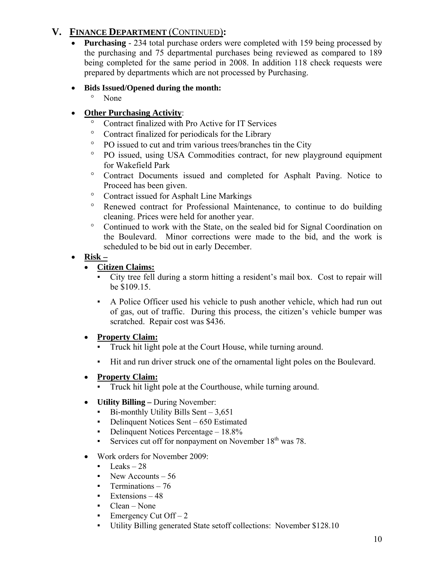# **V. FINANCE DEPARTMENT** (CONTINUED)**:**

• **Purchasing** - 234 total purchase orders were completed with 159 being processed by the purchasing and 75 departmental purchases being reviewed as compared to 189 being completed for the same period in 2008. In addition 118 check requests were prepared by departments which are not processed by Purchasing.

## • **Bids Issued/Opened during the month:**

° None

# • **Other Purchasing Activity**:

- ° Contract finalized with Pro Active for IT Services
- ° Contract finalized for periodicals for the Library
- ° PO issued to cut and trim various trees/branches tin the City
- ° PO issued, using USA Commodities contract, for new playground equipment for Wakefield Park
- ° Contract Documents issued and completed for Asphalt Paving. Notice to Proceed has been given.
- ° Contract issued for Asphalt Line Markings
- ° Renewed contract for Professional Maintenance, to continue to do building cleaning. Prices were held for another year.
- ° Continued to work with the State, on the sealed bid for Signal Coordination on the Boulevard. Minor corrections were made to the bid, and the work is scheduled to be bid out in early December.

# • **Risk –**

# • **Citizen Claims:**

- City tree fell during a storm hitting a resident's mail box. Cost to repair will be \$109.15.
- A Police Officer used his vehicle to push another vehicle, which had run out of gas, out of traffic. During this process, the citizen's vehicle bumper was scratched. Repair cost was \$436.

# • **Property Claim:**

- Truck hit light pole at the Court House, while turning around.
- Hit and run driver struck one of the ornamental light poles on the Boulevard.

# • **Property Claim:**

- Truck hit light pole at the Courthouse, while turning around.
- **Utility Billing During November:** 
	- $\blacksquare$  Bi-monthly Utility Bills Sent 3,651
	- Delinquent Notices Sent 650 Estimated
	- Delinquent Notices Percentage 18.8%
	- **•** Services cut off for nonpayment on November  $18<sup>th</sup>$  was 78.
- Work orders for November 2009:
	- $\text{Leaks} 28$
	- $\blacksquare$  New Accounts 56
	- **•** Terminations 76
	- $Extensions 48$
	- $Clear None$
	- Emergency Cut  $Off-2$
	- Utility Billing generated State setoff collections: November \$128.10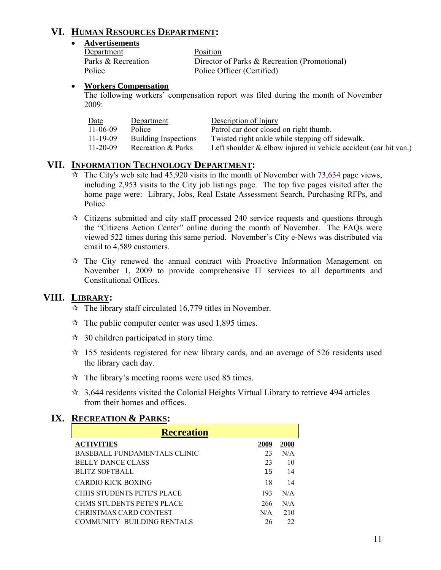# **VI. HUMAN RESOURCES DEPARTMENT:**

#### • **Advertisements**

| Department         | <b>Position</b>                              |
|--------------------|----------------------------------------------|
| Parks & Recreation | Director of Parks & Recreation (Promotional) |
| Police             | Police Officer (Certified)                   |

#### • **Workers Compensation**

The following workers' compensation report was filed during the month of November 2009:

| Date           | Department                  | Description of Injury                                              |
|----------------|-----------------------------|--------------------------------------------------------------------|
| $11 - 06 - 09$ | Police                      | Patrol car door closed on right thumb.                             |
| $11 - 19 - 09$ | <b>Building Inspections</b> | Twisted right ankle while stepping off sidewalk.                   |
| $11 - 20 - 09$ | Recreation & Parks          | Left shoulder $&$ elbow injured in vehicle accident (car hit van.) |

### **VII. INFORMATION TECHNOLOGY DEPARTMENT:**

- $\overline{\mathcal{A}}$  The City's web site had 45,920 visits in the month of November with 73,634 page views, including 2,953 visits to the City job listings page. The top five pages visited after the home page were: Library, Jobs, Real Estate Assessment Search, Purchasing RFPs, and Police.
- $\star$  Citizens submitted and city staff processed 240 service requests and questions through the "Citizens Action Center" online during the month of November. The FAQs were viewed 522 times during this same period. November's City e-News was distributed via email to 4,589 customers.
- $\hat{x}$  The City renewed the annual contract with Proactive Information Management on November 1, 2009 to provide comprehensive IT services to all departments and Constitutional Offices.

# **VIII. LIBRARY:**

- $\approx$  The library staff circulated 16,779 titles in November.
- $\approx$  The public computer center was used 1,895 times.
- $\approx$  30 children participated in story time.
- $\approx$  155 residents registered for new library cards, and an average of 526 residents used the library each day.
- $\hat{x}$  The library's meeting rooms were used 85 times.
- $\approx$  3,644 residents visited the Colonial Heights Virtual Library to retrieve 494 articles from their homes and offices.

### **IX. RECREATION & PARKS:**

| <b>Recreation</b>                   |      |      |  |
|-------------------------------------|------|------|--|
| <b>ACTIVITIES</b>                   | 2009 | 2008 |  |
| <b>BASEBALL FUNDAMENTALS CLINIC</b> | 23   | N/A  |  |
| <b>BELLY DANCE CLASS</b>            | 23   | 10   |  |
| <b>BLITZ SOFTBALL</b>               | 15   | 14   |  |
| CARDIO KICK BOXING                  | 18   | 14   |  |
| CHHS STUDENTS PETE'S PLACE          | 193  | N/A  |  |
| CHMS STUDENTS PETE'S PLACE          | 266  | N/A  |  |
| CHRISTMAS CARD CONTEST              | N/A  | 210  |  |
| COMMUNITY BUILDING RENTALS          | 26   | 22   |  |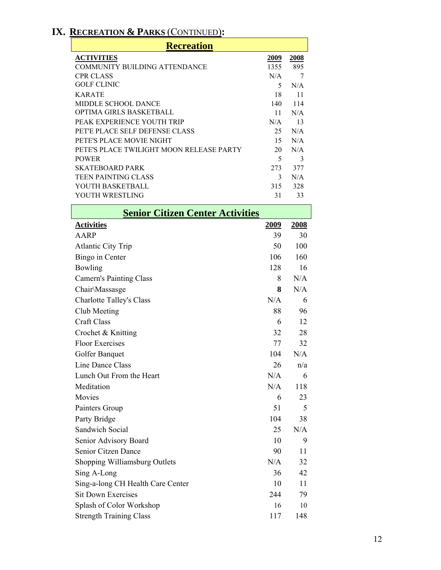# **IX. RECREATION & PARKS** (CONTINUED)**:**

| <b>Recreation</b>                        |      |      |  |
|------------------------------------------|------|------|--|
| <b>ACTIVITIES</b>                        | 2009 | 2008 |  |
| COMMUNITY BUILDING ATTENDANCE            | 1355 | 895  |  |
| <b>CPR CLASS</b>                         | N/A  |      |  |
| GOLF CLINIC                              | 5    | N/A  |  |
| <b>KARATE</b>                            | 18   | 11   |  |
| MIDDLE SCHOOL DANCE                      | 140  | 114  |  |
| OPTIMA GIRLS BASKETBALL                  | 11   | N/A  |  |
| PEAK EXPERIENCE YOUTH TRIP               | N/A  | 13   |  |
| PET'E PLACE SELF DEFENSE CLASS           | 25   | N/A  |  |
| PETE'S PLACE MOVIE NIGHT                 | 15   | N/A  |  |
| PETE'S PLACE TWILIGHT MOON RELEASE PARTY | 20   | N/A  |  |
| <b>POWER</b>                             | 5    | 3    |  |
| <b>SKATEBOARD PARK</b>                   | 273  | 377  |  |
| TEEN PAINTING CLASS                      | 3    | N/A  |  |
| YOUTH BASKETBALL                         | 315  | 328  |  |
| YOUTH WRESTLING                          | 31   | 33   |  |
|                                          |      |      |  |

| <b>Senior Citizen Center Activities</b> |             |             |  |
|-----------------------------------------|-------------|-------------|--|
| <b>Activities</b>                       | <u>2009</u> | <u>2008</u> |  |
| <b>AARP</b>                             | 39          | 30          |  |
| <b>Atlantic City Trip</b>               | 50          | 100         |  |
| Bingo in Center                         | 106         | 160         |  |
| Bowling                                 | 128         | 16          |  |
| <b>Camern's Painting Class</b>          | 8           | N/A         |  |
| Chair\Massasge                          | 8           | N/A         |  |
| <b>Charlotte Talley's Class</b>         | N/A         | 6           |  |
| Club Meeting                            | 88          | 96          |  |
| <b>Craft Class</b>                      | 6           | 12          |  |
| Crochet & Knitting                      | 32          | 28          |  |
| <b>Floor Exercises</b>                  | 77          | 32          |  |
| Golfer Banquet                          | 104         | N/A         |  |
| <b>Line Dance Class</b>                 | 26          | n/a         |  |
| Lunch Out From the Heart                | N/A         | 6           |  |
| Meditation                              | N/A         | 118         |  |
| Movies                                  | 6           | 23          |  |
| Painters Group                          | 51          | 5           |  |
| Party Bridge                            | 104         | 38          |  |
| <b>Sandwich Social</b>                  | 25          | N/A         |  |
| Senior Advisory Board                   | 10          | 9           |  |
| <b>Senior Citzen Dance</b>              | 90          | 11          |  |
| Shopping Williamsburg Outlets           | N/A         | 32          |  |
| Sing A-Long                             | 36          | 42          |  |
| Sing-a-long CH Health Care Center       | 10          | 11          |  |
| <b>Sit Down Exercises</b>               | 244         | 79          |  |
| Splash of Color Workshop                | 16          | 10          |  |
| <b>Strength Training Class</b>          | 117         | 148         |  |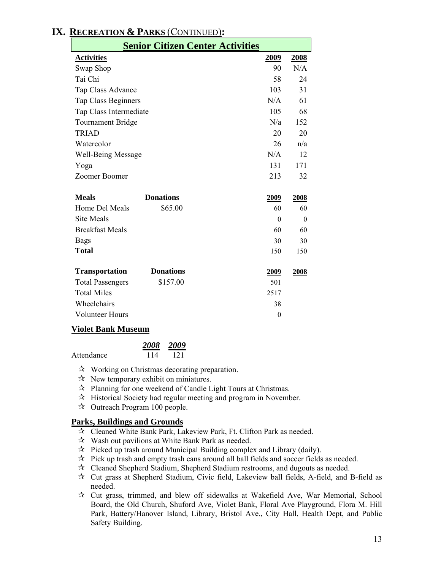| IX. RECREATION & PARKS (CONTINUED): |  |
|-------------------------------------|--|
|                                     |  |

| <b>Senior Citizen Center Activities</b> |                  |  |                |          |
|-----------------------------------------|------------------|--|----------------|----------|
| <b>Activities</b>                       |                  |  | 2009           | 2008     |
| Swap Shop                               |                  |  | 90             | N/A      |
| Tai Chi                                 |                  |  | 58             | 24       |
| Tap Class Advance                       |                  |  | 103            | 31       |
| <b>Tap Class Beginners</b>              |                  |  | N/A            | 61       |
| Tap Class Intermediate                  |                  |  | 105            | 68       |
| <b>Tournament Bridge</b>                |                  |  | N/a            | 152      |
| <b>TRIAD</b>                            |                  |  | 20             | 20       |
| Watercolor                              |                  |  | 26             | n/a      |
| <b>Well-Being Message</b>               |                  |  | N/A            | 12       |
| Yoga                                    |                  |  | 131            | 171      |
| Zoomer Boomer                           |                  |  | 213            | 32       |
| <b>Meals</b>                            | <b>Donations</b> |  | 2009           | 2008     |
| Home Del Meals                          | \$65.00          |  | 60             | 60       |
| <b>Site Meals</b>                       |                  |  | $\theta$       | $\theta$ |
| <b>Breakfast Meals</b>                  |                  |  | 60             | 60       |
| <b>Bags</b>                             |                  |  | 30             | 30       |
| <b>Total</b>                            |                  |  | 150            | 150      |
| <b>Transportation</b>                   | <b>Donations</b> |  | 2009           | 2008     |
| <b>Total Passengers</b>                 | \$157.00         |  | 501            |          |
| <b>Total Miles</b>                      |                  |  | 2517           |          |
| Wheelchairs                             |                  |  | 38             |          |
| <b>Volunteer Hours</b>                  |                  |  | $\overline{0}$ |          |

#### **Violet Bank Museum**

|            |     | 2008 2009 |
|------------|-----|-----------|
| Attendance | 114 | 121       |

- $\mathcal{R}$  Working on Christmas decorating preparation.
- $\mathcal{R}$  New temporary exhibit on miniatures.
- $\lambda$  Planning for one weekend of Candle Light Tours at Christmas.
- $\mathcal{A}$  Historical Society had regular meeting and program in November.
- $\approx$  Outreach Program 100 people.

#### **Parks, Buildings and Grounds**

- Cleaned White Bank Park, Lakeview Park, Ft. Clifton Park as needed.
- $\mathcal{R}$  Wash out pavilions at White Bank Park as needed.
- $\mathcal{R}$  Picked up trash around Municipal Building complex and Library (daily).
- $\mathcal{R}$  Pick up trash and empty trash cans around all ball fields and soccer fields as needed.
- $\mathcal{R}$  Cleaned Shepherd Stadium, Shepherd Stadium restrooms, and dugouts as needed.
- Cut grass at Shepherd Stadium, Civic field, Lakeview ball fields, A-field, and B-field as needed.
- Cut grass, trimmed, and blew off sidewalks at Wakefield Ave, War Memorial, School Board, the Old Church, Shuford Ave, Violet Bank, Floral Ave Playground, Flora M. Hill Park, Battery/Hanover Island, Library, Bristol Ave., City Hall, Health Dept, and Public Safety Building.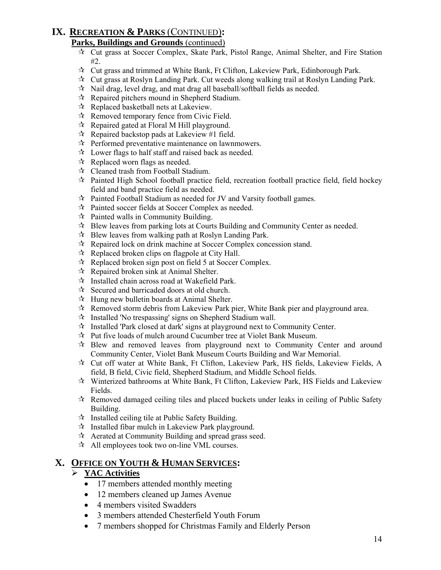# **IX. RECREATION & PARKS** (CONTINUED)**:**

### **Parks, Buildings and Grounds** (continued)

- $\overrightarrow{x}$  Cut grass at Soccer Complex, Skate Park, Pistol Range, Animal Shelter, and Fire Station  $#2.$
- $\star$  Cut grass and trimmed at White Bank, Ft Clifton, Lakeview Park, Edinborough Park.
- $\mathcal{R}$  Cut grass at Roslyn Landing Park. Cut weeds along walking trail at Roslyn Landing Park.
- $\mathcal{R}$  Nail drag, level drag, and mat drag all baseball/softball fields as needed.
- $\mathcal{R}$  Repaired pitchers mound in Shepherd Stadium.
- Replaced basketball nets at Lakeview.
- $\mathcal{R}$  Removed temporary fence from Civic Field.
- $\mathcal{R}$  Repaired gated at Floral M Hill playground.
- $\mathcal{R}$  Repaired backstop pads at Lakeview #1 field.
- $\mathcal{R}$  Performed preventative maintenance on lawnmowers.
- $\mathcal{R}$  Lower flags to half staff and raised back as needed.
- $\forall$  Replaced worn flags as needed.
- $\mathcal{R}$  Cleaned trash from Football Stadium.
- $\mathcal{R}$  Painted High School football practice field, recreation football practice field, field hockey field and band practice field as needed.
- Painted Football Stadium as needed for JV and Varsity football games.
- Painted soccer fields at Soccer Complex as needed.
- $\mathbf{\hat{x}}$  Painted walls in Community Building.
- $\mathcal{R}$  Blew leaves from parking lots at Courts Building and Community Center as needed.
- $\mathcal{R}$  Blew leaves from walking path at Roslyn Landing Park.
- $\mathcal{R}$  Repaired lock on drink machine at Soccer Complex concession stand.
- $\mathcal{R}$  Replaced broken clips on flagpole at City Hall.
- $\mathcal{R}$  Replaced broken sign post on field 5 at Soccer Complex.
- $\mathcal{R}$  Repaired broken sink at Animal Shelter.
- $\mathcal{R}$  Installed chain across road at Wakefield Park.
- $\mathcal{R}$  Secured and barricaded doors at old church.
- $\mathcal{R}$  Hung new bulletin boards at Animal Shelter.
- $\mathcal{R}$  Removed storm debris from Lakeview Park pier, White Bank pier and playground area.
- $\mathcal{R}$  Installed 'No trespassing' signs on Shepherd Stadium wall.
- $\hat{x}$  Installed 'Park closed at dark' signs at playground next to Community Center.
- Put five loads of mulch around Cucumber tree at Violet Bank Museum.
- $\mathcal{R}$  Blew and removed leaves from playground next to Community Center and around Community Center, Violet Bank Museum Courts Building and War Memorial.
- Cut off water at White Bank, Ft Clifton, Lakeview Park, HS fields, Lakeview Fields, A field, B field, Civic field, Shepherd Stadium, and Middle School fields.
- $\mathbf{\hat{x}}$  Winterized bathrooms at White Bank, Ft Clifton, Lakeview Park, HS Fields and Lakeview Fields.
- $\mathcal{R}$  Removed damaged ceiling tiles and placed buckets under leaks in ceiling of Public Safety Building.
- $\mathcal{A}$  Installed ceiling tile at Public Safety Building.
- $\mathcal{R}$  Installed fibar mulch in Lakeview Park playground.
- $\mathcal{A}$  Aerated at Community Building and spread grass seed.
- $\mathcal{A}$  All employees took two on-line VML courses.

# **X. OFFICE ON YOUTH & HUMAN SERVICES:**

# ¾ **YAC Activities**

- 17 members attended monthly meeting
- 12 members cleaned up James Avenue
- 4 members visited Swadders
- 3 members attended Chesterfield Youth Forum
- 7 members shopped for Christmas Family and Elderly Person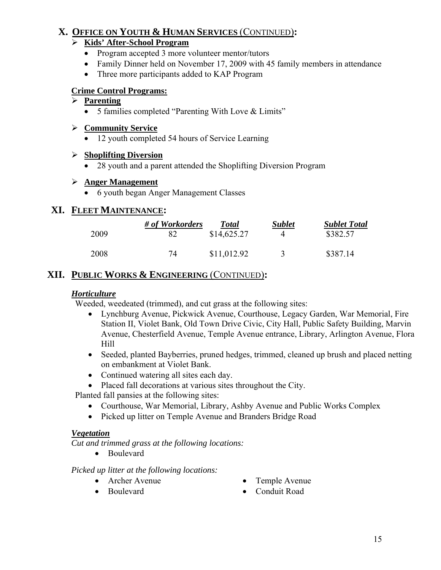# **X. OFFICE ON YOUTH & HUMAN SERVICES** (CONTINUED)**:**

### ¾ **Kids' After-School Program**

- Program accepted 3 more volunteer mentor/tutors
- Family Dinner held on November 17, 2009 with 45 family members in attendance
- Three more participants added to KAP Program

# **Crime Control Programs:**

### ¾ **Parenting**

• 5 families completed "Parenting With Love & Limits"

### ¾ **Community Service**

• 12 youth completed 54 hours of Service Learning

### ¾ **Shoplifting Diversion**

• 28 youth and a parent attended the Shoplifting Diversion Program

### ¾ **Anger Management**

• 6 youth began Anger Management Classes

# **XI. FLEET MAINTENANCE:**

| 2009 | # of Workorders | <b>Total</b><br>\$14,625.27 | <b>Sublet</b> | <b>Sublet Total</b><br>\$382.57 |
|------|-----------------|-----------------------------|---------------|---------------------------------|
| 2008 | 74              | \$11,012.92                 |               | \$387.14                        |

# **XII. PUBLIC WORKS & ENGINEERING** (CONTINUED)**:**

### *Horticulture*

Weeded, weedeated (trimmed), and cut grass at the following sites:

- Lynchburg Avenue, Pickwick Avenue, Courthouse, Legacy Garden, War Memorial, Fire Station II, Violet Bank, Old Town Drive Civic, City Hall, Public Safety Building, Marvin Avenue, Chesterfield Avenue, Temple Avenue entrance, Library, Arlington Avenue, Flora Hill
- Seeded, planted Bayberries, pruned hedges, trimmed, cleaned up brush and placed netting on embankment at Violet Bank.
- Continued watering all sites each day.
- Placed fall decorations at various sites throughout the City.

Planted fall pansies at the following sites:

- Courthouse, War Memorial, Library, Ashby Avenue and Public Works Complex
- Picked up litter on Temple Avenue and Branders Bridge Road

### *Vegetation*

*Cut and trimmed grass at the following locations:* 

• Boulevard

*Picked up litter at the following locations:* 

- 
- Archer Avenue Temple Avenue
	-
- Boulevard Conduit Road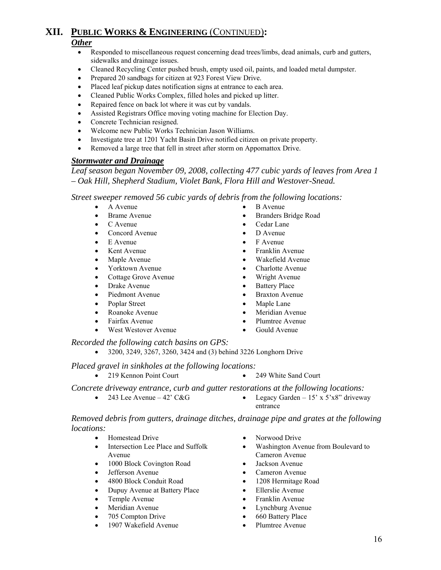#### *Other*

- Responded to miscellaneous request concerning dead trees/limbs, dead animals, curb and gutters, sidewalks and drainage issues.
- Cleaned Recycling Center pushed brush, empty used oil, paints, and loaded metal dumpster.
- Prepared 20 sandbags for citizen at 923 Forest View Drive.
- Placed leaf pickup dates notification signs at entrance to each area.
- Cleaned Public Works Complex, filled holes and picked up litter.
- Repaired fence on back lot where it was cut by vandals.
- Assisted Registrars Office moving voting machine for Election Day.
- Concrete Technician resigned.
- Welcome new Public Works Technician Jason Williams.
- Investigate tree at 1201 Yacht Basin Drive notified citizen on private property.
- Removed a large tree that fell in street after storm on Appomattox Drive.

#### *Stormwater and Drainage*

*Leaf season began November 09, 2008, collecting 477 cubic yards of leaves from Area 1 – Oak Hill, Shepherd Stadium, Violet Bank, Flora Hill and Westover-Snead.* 

*Street sweeper removed 56 cubic yards of debris from the following locations:* 

- A Avenue B Avenue
- 
- 
- Concord Avenue D Avenue
- 
- 
- 
- 
- Cottage Grove Avenue Wright Avenue
- Drake Avenue Battery Place
- 
- 
- 
- 
- West Westover Avenue Gould Avenue
- 
- Brame Avenue Branders Bridge Road
- C Avenue Cedar Lane
	-
	- E Avenue F Avenue
	- Kent Avenue Franklin Avenue
	- Maple Avenue Wakefield Avenue
	- Yorktown Avenue Charlotte Avenue
		-
		-
	- Piedmont Avenue Braxton Avenue
	- Poplar Street Maple Lane
	- Roanoke Avenue Meridian Avenue
	- Fairfax Avenue Plumtree Avenue
		-

*Recorded the following catch basins on GPS:* 

• 3200, 3249, 3267, 3260, 3424 and (3) behind 3226 Longhorn Drive

#### *Placed gravel in sinkholes at the following locations:*

- 219 Kennon Point Court 249 White Sand Court
- 

#### *Concrete driveway entrance, curb and gutter restorations at the following locations:*

- 
- 243 Lee Avenue 42' C&G Legacy Garden 15' x 5'x8" driveway entrance

*Removed debris from gutters, drainage ditches, drainage pipe and grates at the following locations:* 

- Homestead Drive Norwood Drive
	- Intersection Lee Place and Suffolk Avenue
- 1000 Block Covington Road Jackson Avenue
- 
- 
- 4800 Block Conduit Road<br>
Dupuv Avenue at Battery Place<br>
 Ellerslie Avenue Dupuy Avenue at Battery Place
- 
- 
- 
- 1907 Wakefield Avenue Plumtree Avenue
- 
- Washington Avenue from Boulevard to Cameron Avenue
- 
- Jefferson Avenue Cameron Avenue
	-
	-
- Temple Avenue Franklin Avenue
	- Meridian Avenue Lynchburg Avenue
	- 705 Compton Drive 660 Battery Place
		-
- 
- 
-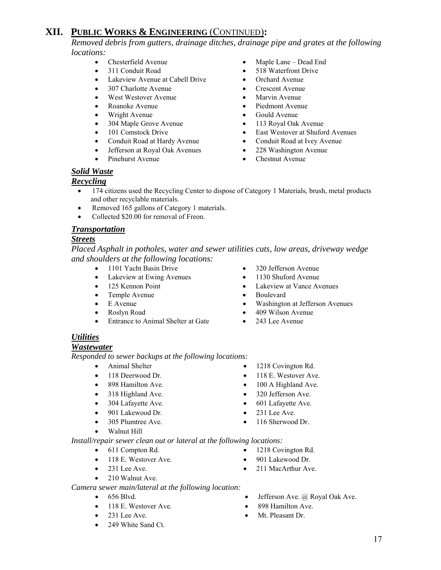*Removed debris from gutters, drainage ditches, drainage pipe and grates at the following locations:* 

- 
- 
- Lakeview Avenue at Cabell Drive Orchard Avenue
- 307 Charlotte Avenue Crescent Avenue
- West Westover Avenue Marvin Avenue
- 
- 
- 304 Maple Grove Avenue 113 Royal Oak Avenue
- 
- 
- Jefferson at Royal Oak Avenues 228 Washington Avenue
- 
- Chesterfield Avenue Maple Lane Dead End
- 311 Conduit Road 518 Waterfront Drive
	-
	-
	-
	- Roanoke Avenue Piedmont Avenue
	- Wright Avenue Gould Avenue
		-
- 101 Comstock Drive East Westover at Shuford Avenues
	- Conduit Road at Hardy Avenue Conduit Road at Ivey Avenue
		-
	- Pinehurst Avenue Chestnut Avenue

### *Solid Waste*

### *Recycling*

- 174 citizens used the Recycling Center to dispose of Category 1 Materials, brush, metal products and other recyclable materials.
- Removed 165 gallons of Category 1 materials.
- Collected \$20.00 for removal of Freon.

#### *Transportation*

#### *Streets*

*Placed Asphalt in potholes, water and sewer utilities cuts, low areas, driveway wedge and shoulders at the following locations:* 

- 1101 Yacht Basin Drive 320 Jefferson Avenue
- Lakeview at Ewing Avenues 1130 Shuford Avenue
- 
- Temple Avenue Boulevard
- 
- 
- Entrance to Animal Shelter at Gate 243 Lee Avenue
- 
- 
- 125 Kennon Point Lakeview at Vance Avenues
	-
	- Washington at Jefferson Avenues
- Roslyn Road 409 Wilson Avenue
	-

### *Utilities*

#### *Wastewater*

*Responded to sewer backups at the following locations:*

- 
- 
- 
- 318 Highland Ave. 320 Jefferson Ave.
- 
- 901 Lakewood Dr. 231 Lee Ave.
- 
- Walnut Hill

*Install/repair sewer clean out or lateral at the following locations:* 

- 611 Compton Rd. 1218 Covington Rd.
- 118 E. Westover Ave. 901 Lakewood Dr.
- 
- 210 Walnut Ave.

#### *Camera sewer main/lateral at the following location:*

- 
- 118 E. Westover Ave. 898 Hamilton Ave.
- 
- 249 White Sand Ct.
- Animal Shelter 1218 Covington Rd.
- 118 Deerwood Dr. 118 E. Westover Ave.
- 898 Hamilton Ave. 100 A Highland Ave.
	-
	-
	-
	-
	-
	-
- 231 Lee Ave. 211 MacArthur Ave.
- 656 Blvd. Jefferson Ave. @ Royal Oak Ave.
	-
- 231 Lee Ave. Mt. Pleasant Dr.
- 304 Lafayette Ave. 601 Lafayette Ave.
	-
	- 305 Plumtree Ave. 116 Sherwood Dr.
		-
		- - -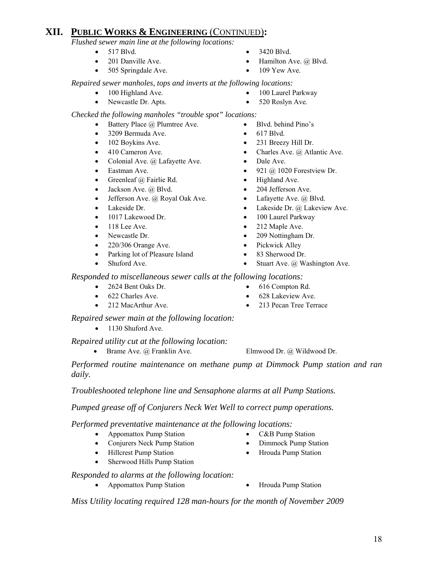*Flushed sewer main line at the following locations:* 

- 
- 
- 505 Springdale Ave. 109 Yew Ave.
- 517 Blvd. 3420 Blvd.
- 201 Danville Ave. Hamilton Ave. @ Blvd.
	-

 *Repaired sewer manholes, tops and inverts at the following locations:* 

- 100 Highland Ave. 100 Laurel Parkway
- Newcastle Dr. Apts. 520 Roslyn Ave.
- *Checked the following manholes "trouble spot" locations:* 
	- Battery Place *(a)* Plumtree Ave. Blvd. behind Pino's
	- 3209 Bermuda Ave. 617 Blvd.
	-
	-
	- Colonial Ave. @ Lafayette Ave. Dale Ave.
	-
	- Greenleaf @ Fairlie Rd. Highland Ave.
	- Jackson Ave. @ Blvd. 204 Jefferson Ave.
	- Jefferson Ave. @ Royal Oak Ave. Lafayette Ave. @ Blvd.
	-
	-
	-
	-
	- 220/306 Orange Ave. Pickwick Alley
	- Parking lot of Pleasure Island 83 Sherwood Dr.
	-
- 
- 
- 102 Boykins Ave. 231 Breezy Hill Dr.
- 410 Cameron Ave. Charles Ave. @ Atlantic Ave.
	-
- Eastman Ave. 921 @ 1020 Forestview Dr.
	-
	-
	-
	- Lakeside Dr.  **Lakeside Dr. @ Lakeview Ave.**
- 1017 Lakewood Dr. 100 Laurel Parkway
- 118 Lee Ave. 212 Maple Ave.
- Newcastle Dr. 209 Nottingham Dr.
	-
	-
	- Stuart Ave. @ Washington Ave.

 *Responded to miscellaneous sewer calls at the following locations:* 

- 2624 Bent Oaks Dr. 616 Compton Rd.
- 622 Charles Ave. 628 Lakeview Ave.
- 
- 212 MacArthur Ave. 213 Pecan Tree Terrace

 *Repaired sewer main at the following location:* 

• 1130 Shuford Ave.

 *Repaired utility cut at the following location:* 

• Brame Ave. @ Franklin Ave. Elmwood Dr. @ Wildwood Dr.

 *Performed routine maintenance on methane pump at Dimmock Pump station and ran daily.* 

 *Troubleshooted telephone line and Sensaphone alarms at all Pump Stations.* 

 *Pumped grease off of Conjurers Neck Wet Well to correct pump operations.* 

*Performed preventative maintenance at the following locations:* 

- Appomattox Pump Station C&B Pump Station
- Conjurers Neck Pump Station Dimmock Pump Station
- Hillcrest Pump Station Hrouda Pump Station
- Sherwood Hills Pump Station
- *Responded to alarms at the following location:* 
	- Appomattox Pump Station Hrouda Pump Station
		-

*Miss Utility locating required 128 man-hours for the month of November 2009* 

18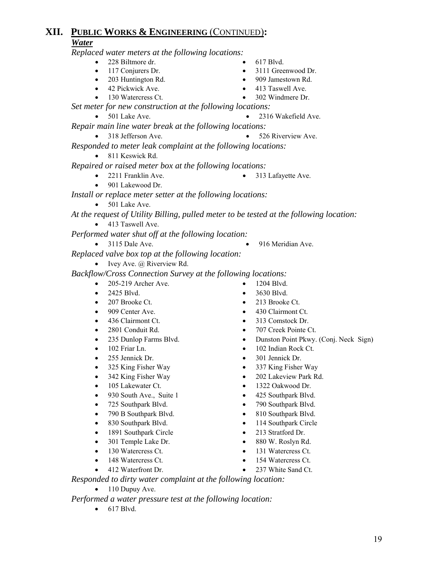*Replaced water meters at the following locations:* 

- 228 Biltmore dr. 617 Blvd.
- 
- 
- 
- 
- 
- 117 Conjurers Dr. 3111 Greenwood Dr.
	- 203 Huntington Rd. 909 Jamestown Rd.
- 42 Pickwick Ave. 413 Taswell Ave.
- 130 Watercress Ct. 302 Windmere Dr.

 *Set meter for new construction at the following locations:* 

• 501 Lake Ave. • 2316 Wakefield Ave.

- *Repair main line water break at the following locations:* 
	- 318 Jefferson Ave. 526 Riverview Ave.
- *Responded to meter leak complaint at the following locations:* 
	- 811 Keswick Rd.
- *Repaired or raised meter box at the following locations:* 
	- 2211 Franklin Ave. 313 Lafayette Ave.
	- 901 Lakewood Dr.

*Install or replace meter setter at the following locations:*

- 501 Lake Ave.
- *At the request of Utility Billing, pulled meter to be tested at the following location:*  • 413 Taswell Ave.

 *Performed water shut off at the following location:* 

- 
- 3115 Dale Ave. 916 Meridian Ave.

 *Replaced valve box top at the following location:* 

• Ivey Ave.  $\omega$  Riverview Rd.

 *Backflow/Cross Connection Survey at the following locations:* 

- 205-219 Archer Ave. 1204 Blvd.
- 2425 Blvd. 3630 Blvd.
- 
- 
- 
- 
- 
- 
- 
- 
- 
- 
- 930 South Ave., Suite 1 425 Southpark Blvd.
- 
- 
- 
- 1891 Southpark Circle 213 Stratford Dr.
- 
- 
- 
- 
- 
- 207 Brooke Ct. 213 Brooke Ct.
- 909 Center Ave. 430 Clairmont Ct.
- 436 Clairmont Ct. 313 Comstock Dr.
- 2801 Conduit Rd. 707 Creek Pointe Ct.
- 235 Dunlop Farms Blvd. Dunston Point Pkwy. (Conj. Neck Sign)
	- 102 Friar Ln. 102 Indian Rock Ct.
		-
	- 325 King Fisher Way 337 King Fisher Way
- 342 King Fisher Way 202 Lakeview Park Rd.
- 105 Lakewater Ct. 1322 Oakwood Dr.
	-
	- 725 Southpark Blvd. 790 Southpark Blvd.
	- 790 B Southpark Blvd. 810 Southpark Blvd.
- 830 Southpark Blvd. 114 Southpark Circle
	-
	-
	-
	-
	-

 *Responded to dirty water complaint at the following location:* 

• 110 Dupuy Ave.

 *Performed a water pressure test at the following location:* 

• 617 Blvd.

- 
- 
- 
- 
- 
- 
- 255 Jennick Dr. 301 Jennick Dr.
	-
	-
	-
	-
	-
	-
	-
- 301 Temple Lake Dr. 880 W. Roslyn Rd.
- 130 Watercress Ct. 131 Watercress Ct.
- 148 Watercress Ct. 154 Watercress Ct.
	- 412 Waterfront Dr. 237 White Sand Ct.